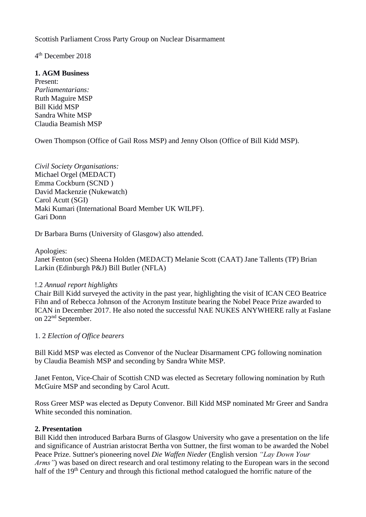Scottish Parliament Cross Party Group on Nuclear Disarmament

4 th December 2018

**1. AGM Business** Present: *Parliamentarians:* Ruth Maguire MSP Bill Kidd MSP Sandra White MSP Claudia Beamish MSP

Owen Thompson (Office of Gail Ross MSP) and Jenny Olson (Office of Bill Kidd MSP).

*Civil Society Organisations:* Michael Orgel (MEDACT) Emma Cockburn (SCND ) David Mackenzie (Nukewatch) Carol Acutt (SGI) Maki Kumari (International Board Member UK WILPF). Gari Donn

Dr Barbara Burns (University of Glasgow) also attended.

Apologies:

Janet Fenton (sec) Sheena Holden (MEDACT) Melanie Scott (CAAT) Jane Tallents (TP) Brian Larkin (Edinburgh P&J) Bill Butler (NFLA)

## !.2 *Annual report highlights*

Chair Bill Kidd surveyed the activity in the past year, highlighting the visit of ICAN CEO Beatrice Fihn and of Rebecca Johnson of the Acronym Institute bearing the Nobel Peace Prize awarded to ICAN in December 2017. He also noted the successful NAE NUKES ANYWHERE rally at Faslane on 22nd September.

## 1. 2 *Election of Office bearers*

Bill Kidd MSP was elected as Convenor of the Nuclear Disarmament CPG following nomination by Claudia Beamish MSP and seconding by Sandra White MSP.

Janet Fenton, Vice-Chair of Scottish CND was elected as Secretary following nomination by Ruth McGuire MSP and seconding by Carol Acutt.

Ross Greer MSP was elected as Deputy Convenor. Bill Kidd MSP nominated Mr Greer and Sandra White seconded this nomination.

## **2. Presentation**

Bill Kidd then introduced Barbara Burns of Glasgow University who gave a presentation on the life and significance of Austrian aristocrat Bertha von Suttner, the first woman to be awarded the Nobel Peace Prize. Suttner's pioneering novel *Die Waffen Nieder* (English version *"Lay Down Your Arms*") was based on direct research and oral testimony relating to the European wars in the second half of the 19<sup>th</sup> Century and through this fictional method catalogued the horrific nature of the